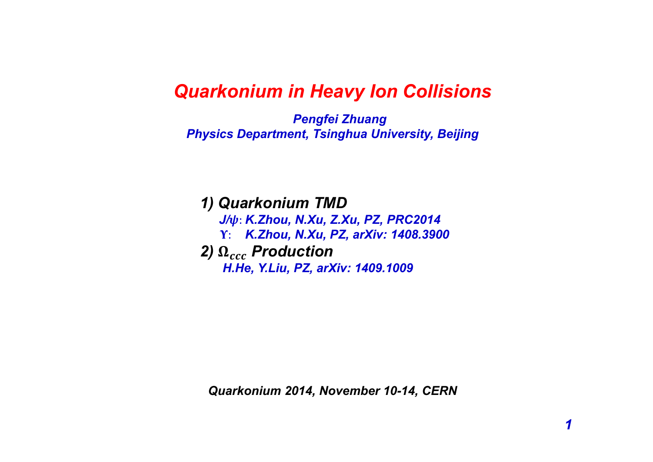# *Quarkonium in Heavy Ion Collisions*

*Pengfei Zhuang Physics Department, Tsinghua University, Beijing*

*1) Quarkonium TMD J/*࣒: *K.Zhou, N.Xu, Z.Xu, PZ, PRC2014* ળ: *K.Zhou, N.Xu, PZ, arXiv: 1408.3900* 2)  $\Omega_{ccc}$  Production *H.He, Y.Liu, PZ, arXiv: 1409.1009*

*Quarkonium 2014, November 10-14, CERN*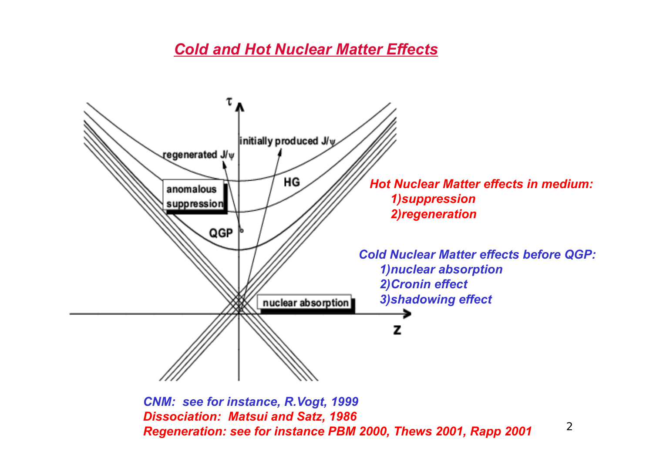# *Cold and Hot Nuclear Matter Effects*



*CNM: see for instance, R.Vogt, 1999 Dissociation: Matsui and Satz, 1986 Regeneration: see for instance PBM 2000, Thews 2001, Rapp 2001*

 $\overline{2}$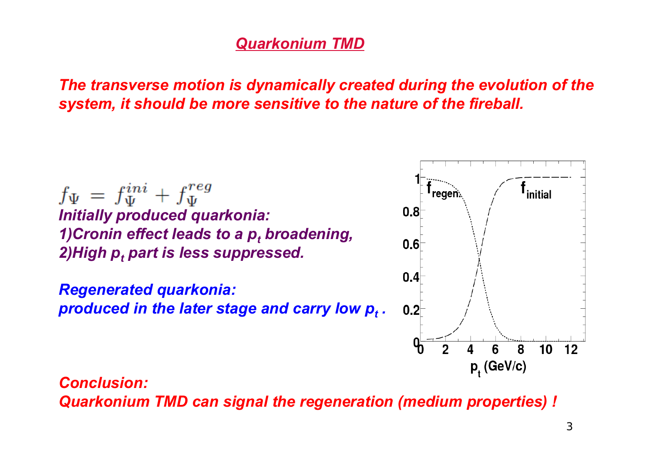# *Quarkonium TMD*

*The transverse motion is dynamically created during the evolution of the system, it should be more sensitive to the nature of the fireball.*

 $f_{\Psi} = f_{\Psi}^{ini} + f_{\Psi}^{reg}$ *Initially produced quarkonia: 1)Cronin effect leads to a p<sub>t</sub> broadening, 2)High pt part is less suppressed.*

*Regenerated quarkonia: produced in the later stage and carry low*  $p_t$  *.* 



*Conclusion: Quarkonium TMD can signal the regeneration (medium properties) !*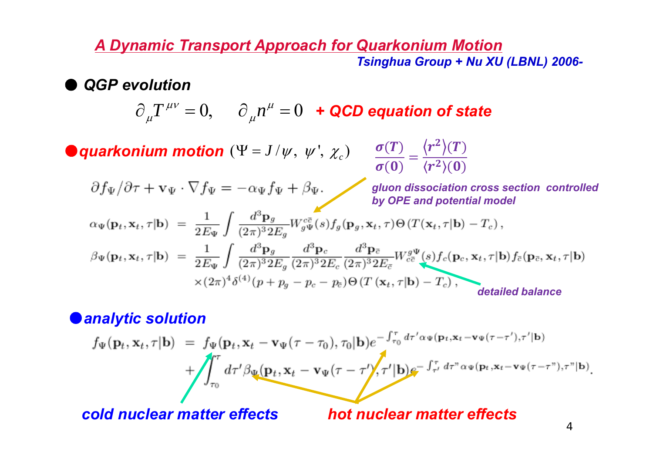### **A Dynamic Transport Approach for Quarkonium Motion** Tsinghua Group + Nu XU (LBNL) 2006-

**QGP** evolution

$$
\partial_{\mu}T^{\mu\nu} = 0, \quad \partial_{\mu}n^{\mu} = 0 \quad \text{if a color equation of state}
$$

● quarkonium motion  $(\Psi = J/\psi, \psi', \chi_c)$   $\frac{\sigma(T)}{\sigma(0)} = \frac{\langle r^2 \rangle(T)}{\langle r^2 \rangle(0)}$ 

$$
\partial f_{\Psi}/\partial \tau + \mathbf{v}_{\Psi} \cdot \nabla f_{\Psi} = -\alpha_{\Psi} f_{\Psi} + \beta_{\Psi}.
$$

gluon dissociation cross section controlled by OPE and potential model

$$
\alpha_{\Psi}(\mathbf{p}_t, \mathbf{x}_t, \tau | \mathbf{b}) = \frac{1}{2E_{\Psi}} \int \frac{d^3 \mathbf{p}_g}{(2\pi)^3 2E_g} W_{g\Psi}^{c\overline{c}}(s) f_g(\mathbf{p}_g, \mathbf{x}_t, \tau) \Theta(T(\mathbf{x}_t, \tau | \mathbf{b}) - T_c),
$$
  
\n
$$
\beta_{\Psi}(\mathbf{p}_t, \mathbf{x}_t, \tau | \mathbf{b}) = \frac{1}{2E_{\Psi}} \int \frac{d^3 \mathbf{p}_g}{(2\pi)^3 2E_g} \frac{d^3 \mathbf{p}_c}{(2\pi)^3 2E_c} \frac{d^3 \mathbf{p}_{\overline{c}}}{(2\pi)^3 2E_{\overline{c}}} W_{c\overline{c}}^{g\Psi}(s) f_c(\mathbf{p}_c, \mathbf{x}_t, \tau | \mathbf{b}) f_{\overline{c}}(\mathbf{p}_{\overline{c}}, \mathbf{x}_t, \tau | \mathbf{b})
$$

$$
\times (2\pi)^4 \delta^{(4)}(p + p_g - p_c - p_{\overline{c}}) \Theta(T(\mathbf{x}_t, \tau | \mathbf{b}) - T_c),
$$
 detailed balance

### **Oanalytic solution**

$$
f_{\Psi}(\mathbf{p}_t, \mathbf{x}_t, \tau | \mathbf{b}) = f_{\Psi}(\mathbf{p}_t, \mathbf{x}_t - \mathbf{v}_{\Psi}(\tau - \tau_0), \tau_0 | \mathbf{b}) e^{-\int_{\tau_0}^{\tau} d\tau' \alpha \Psi(\mathbf{p}_t, \mathbf{x}_t - \mathbf{v}_{\Psi}(\tau - \tau'), \tau' | \mathbf{b})} + \int_{\tau_0}^{\tau} d\tau' \beta_{\Psi}(\mathbf{p}_t, \mathbf{x}_t - \mathbf{v}_{\Psi}(\tau - \tau'), \tau' | \mathbf{b}) e^{-\int_{\tau'}^{\tau} d\tau'' \alpha \Psi(\mathbf{p}_t, \mathbf{x}_t - \mathbf{v}_{\Psi}(\tau - \tau''), \tau'' | \mathbf{b})}.
$$

cold nuclear matter effects

hot nuclear matter effects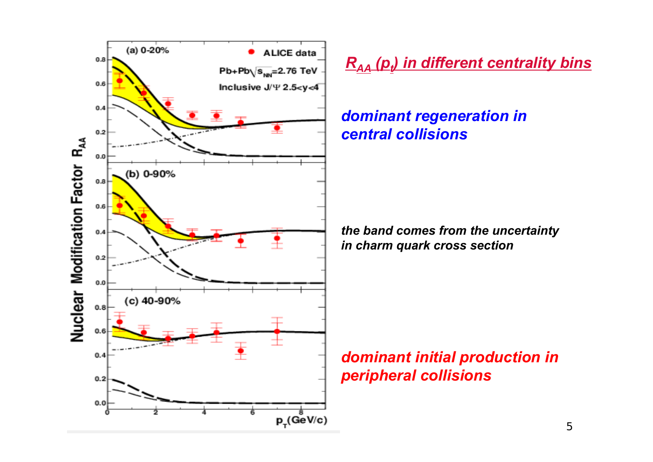

*RAA (pt) in different centrality bins*

# *dominant regeneration in central collisions*

*the band comes from the uncertainty in charm quark cross section*

# *dominant initial production in peripheral collisions*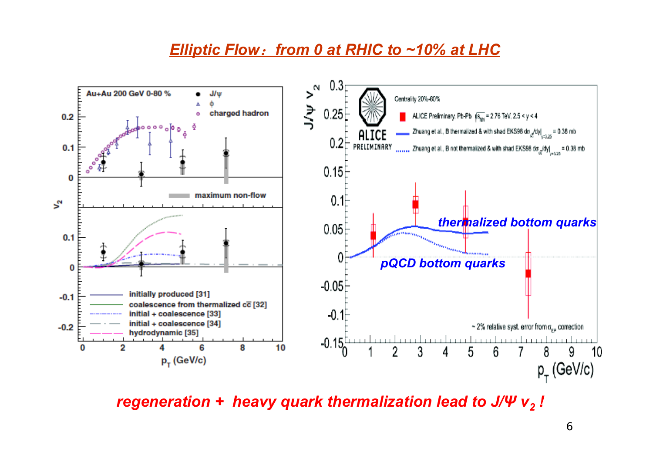# *Elliptic Flow*:*from 0 at RHIC to ~10% at LHC*



*regeneration + heavy quark thermalization lead to J/Ψ v<sub>2</sub> !*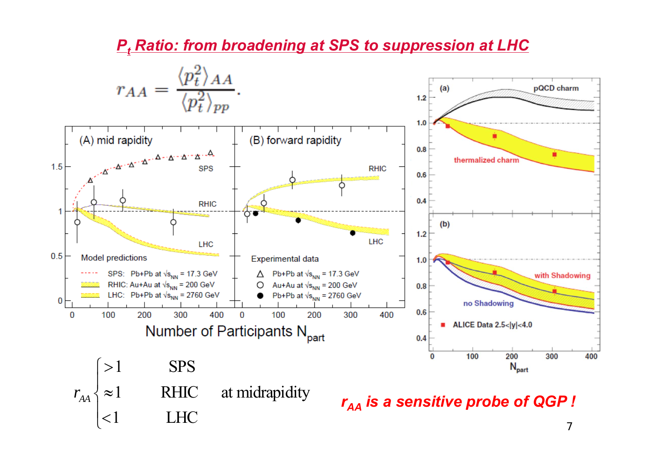

### *Pt Ratio: from broadening at SPS to suppression at LHC*

7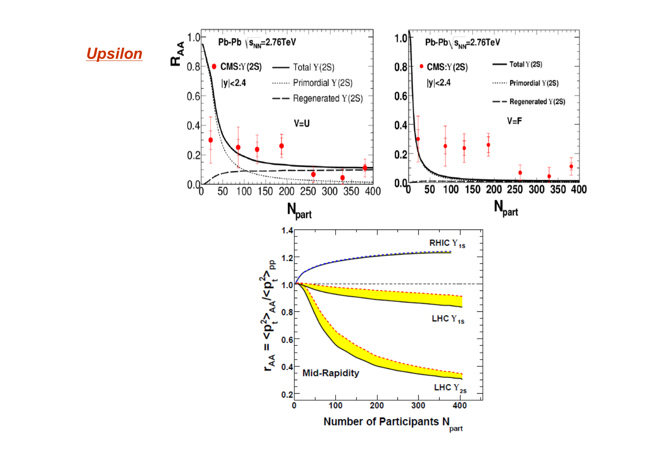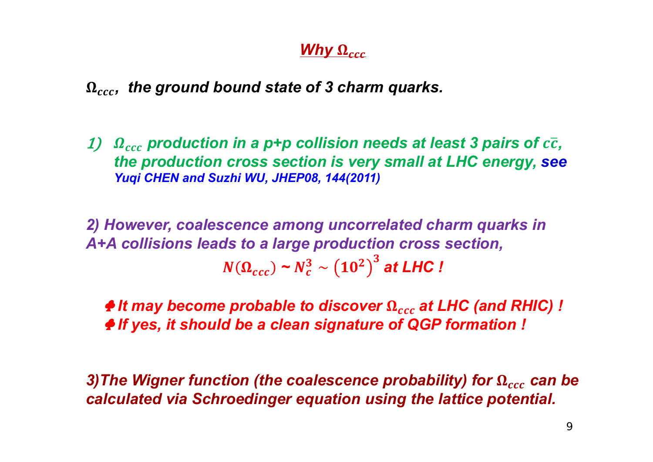# *Why*  $\Omega_{ccc}$

# $Ω<sub>ccc</sub>$ *, the ground bound state of 3 charm quarks.*

 $1)$   $\;\Omega_{ccc}$  production in a p+p collision needs at least 3 pairs of  $c\overline{c}$ , *the production cross section is very small at LHC energy, see Yuqi CHEN and Suzhi WU, JHEP08, 144(2011)*

*2) However, coalescence among uncorrelated charm quarks in A+A collisions leads to a large production cross section,*   $N(\Omega_{ccc}) \thicksim N_c^3 \sim \left(10^2\right)^3$  at LHC !

**↑ It may become probable to discover Ω** $<sub>ccc</sub> at LHC (and RHIC) !$ ♣ *If yes, it should be a clean signature of QGP formation !*

 $\bf 3)$ The Wigner function (the coalescence probability) for  $\bf \Omega_{ccc}$  can be *calculated via Schroedinger equation using the lattice potential.*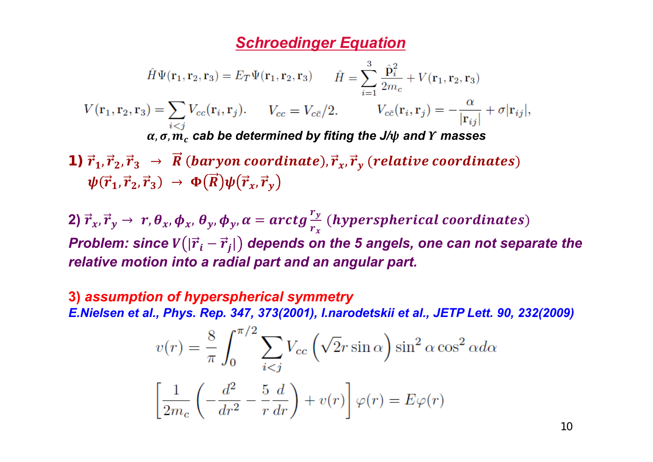### *Schroedinger Equation*

$$
\hat{H}\Psi(\mathbf{r}_1,\mathbf{r}_2,\mathbf{r}_3) = E_T\Psi(\mathbf{r}_1,\mathbf{r}_2,\mathbf{r}_3) \qquad \hat{H} = \sum_{i=1}^3 \frac{\hat{\mathbf{p}}_i^2}{2m_c} + V(\mathbf{r}_1,\mathbf{r}_2,\mathbf{r}_3)
$$

$$
V(\mathbf{r}_1,\mathbf{r}_2,\mathbf{r}_3) = \sum_{i < j} V_{cc}(\mathbf{r}_i,\mathbf{r}_j). \qquad V_{cc} = V_{c\bar{c}}/2. \qquad V_{c\bar{c}}(\mathbf{r}_i,\mathbf{r}_j) = -\frac{\alpha}{|\mathbf{r}_{ij}|} + \sigma |\mathbf{r}_{ij}|,
$$

$$
\alpha, \sigma, m_c \text{ cab be determined by fitting the J/}\phi \text{ and } \Upsilon \text{ masses}
$$

**1)**  $\vec{r}_1, \vec{r}_2, \vec{r}_3 \rightarrow \vec{R}$  (baryon coordinate),  $\vec{r}_x, \vec{r}_y$  (relative coordinates)  $\psi(\vec{r}_1, \vec{r}_2, \vec{r}_3) \rightarrow \Phi(\vec{R}) \psi(\vec{r}_x, \vec{r}_y)$ 

2)  $\vec{r}_x,\vec{r}_y\rightarrow~r$  ,  $\theta_x,\phi_x,$   $\theta_y,\phi_y,$   $\alpha=arctg\frac{r_y}{r_x}$  (hyperspherical coordinates) *Problem: since*  $V(|\vec{r}_i - \vec{r}_j|)$  *depends on the 5 angels, one can not separate the relative motion into a radial part and an angular part.* 

**3)** *assumption of hyperspherical symmetry E.Nielsen et al., Phys. Rep. 347, 373(2001), I.narodetskii et al., JETP Lett. 90, 232(2009)*

$$
v(r) = \frac{8}{\pi} \int_0^{\pi/2} \sum_{i < j} V_{cc} \left( \sqrt{2}r \sin \alpha \right) \sin^2 \alpha \cos^2 \alpha d\alpha
$$
\n
$$
\left[ \frac{1}{2m_c} \left( -\frac{d^2}{dr^2} - \frac{5}{r} \frac{d}{dr} \right) + v(r) \right] \varphi(r) = E\varphi(r)
$$

10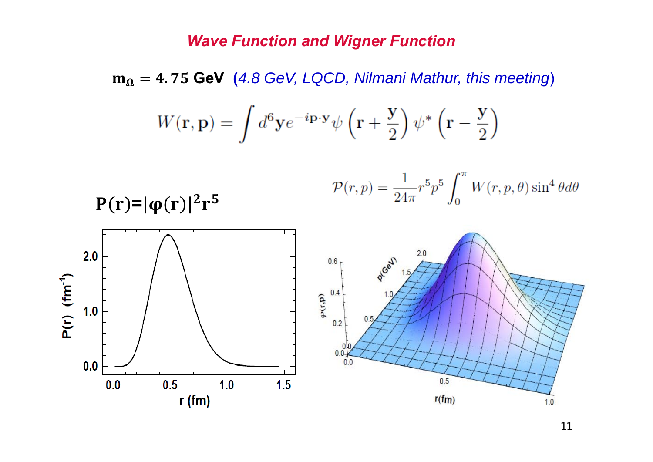# **Wave Function and Wigner Function**

 $m_{\Omega}$  = 4.75 GeV (4.8 GeV, LQCD, Nilmani Mathur, this meeting)

$$
W(\mathbf{r}, \mathbf{p}) = \int d^6 \mathbf{y} e^{-i\mathbf{p} \cdot \mathbf{y}} \psi \left(\mathbf{r} + \frac{\mathbf{y}}{2}\right) \psi^* \left(\mathbf{r} - \frac{\mathbf{y}}{2}\right)
$$

$$
\mathcal{P}(r,p) = \frac{1}{24\pi} r^5 p^5 \int_0^{\pi} W(r,p,\theta) \sin^4 \theta d\theta
$$



 $P(r)=|\phi(r)|^2r^5$ 

11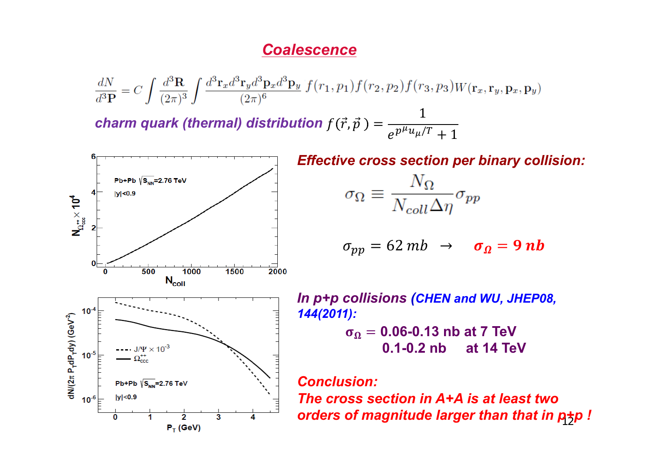#### **Coalescence**

$$
\frac{dN}{d^3P} = C \int \frac{d^3 \mathbf{R}}{(2\pi)^3} \int \frac{d^3 \mathbf{r}_x d^3 \mathbf{r}_y d^3 \mathbf{p}_x d^3 \mathbf{p}_y}{(2\pi)^6} f(r_1, p_1) f(r_2, p_2) f(r_3, p_3) W(\mathbf{r}_x, \mathbf{r}_y, \mathbf{p}_x, \mathbf{p}_y)
$$
  
charm quark (thermal) distribution  $f(\vec{r}, \vec{p}) = \frac{1}{e^{p\mu u_\mu/T} + 1}$ 



**Effective cross section per binary collision:** 

$$
\sigma_\Omega \equiv \frac{N_\Omega}{N_{coll}\Delta\eta} \sigma_{pp}
$$

$$
\sigma_{pp} = 62 mb \rightarrow \sigma_{\Omega} = 9 nb
$$

In p+p collisions (CHEN and WU, JHEP08,  $144(2011)$ :  $\sigma_{\Omega} = 0.06$ -0.13 nb at 7 TeV  $0.1 - 0.2$  nb at 14 TeV

#### **Conclusion:**

The cross section in A+A is at least two orders of magnitude larger than that in ptp !